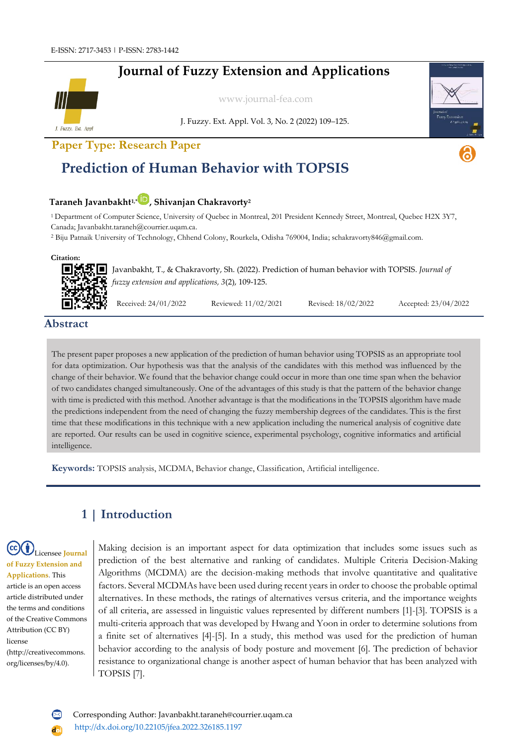## **Journal of Fuzzy Extension and Applications**



[www.journal-fea.com](http://www.journal-fea.com/)

J. Fuzzy. Ext. Appl. Vol. 3, No. 2 (2022) 109–125.

**Paper Type: Research Paper**

# **Prediction of Human Behavior with TOPSIS**

## **Taraneh Javanbakht1,[\\*](https://orcid.org/0000-0002-2658-330X) , Shivanjan Chakravorty<sup>2</sup>**

<sup>1</sup>Department of Computer Science, University of Quebec in Montreal, 201 President Kennedy Street, Montreal, Quebec H2X 3Y7, Canada; Javanbakht.taraneh@courrier.uqam.ca.

<sup>2</sup> Biju Patnaik University of Technology, Chhend Colony, Rourkela, Odisha 769004, India; schakravorty846@gmail.com.

#### **Citation:**



Javanbakht, T., & Chakravorty, Sh. (2022). Prediction of human behavior with TOPSIS. *Journal of fuzzy extension and applications, 3*(2), 109-125.

Received: 24/01/2022 Reviewed: 11/02/2021 Revised: 18/02/2022 Accepted: 23/04/2022

## **Abstract**

The present paper proposes a new application of the prediction of human behavior using TOPSIS as an appropriate tool for data optimization. Our hypothesis was that the analysis of the candidates with this method was influenced by the change of their behavior. We found that the behavior change could occur in more than one time span when the behavior of two candidates changed simultaneously. One of the advantages of this study is that the pattern of the behavior change with time is predicted with this method. Another advantage is that the modifications in the TOPSIS algorithm have made the predictions independent from the need of changing the fuzzy membership degrees of the candidates. This is the first time that these modifications in this technique with a new application including the numerical analysis of cognitive date are reported. Our results can be used in cognitive science, experimental psychology, cognitive informatics and artificial intelligence.

**Keywords:** TOPSIS analysis, MCDMA, Behavior change, Classification, Artificial intelligence.

## **1 | Introduction**

### Licensee **Journal of Fuzzy Extension and Applications**. This article is an open access article distributed under the terms and conditions of the Creative Commons Attribution (CC BY) license (http://creativecommons. org/licenses/by/4.0).

Making decision is an important aspect for data optimization that includes some issues such as prediction of the best alternative and ranking of candidates. Multiple Criteria Decision-Making Algorithms (MCDMA) are the decision-making methods that involve quantitative and qualitative factors. Several MCDMAs have been used during recent years in order to choose the probable optimal alternatives. In these methods, the ratings of alternatives versus criteria, and the importance weights of all criteria, are assessed in linguistic values represented by different numbers [1]-[3]. TOPSIS is a multi-criteria approach that was developed by Hwang and Yoon in order to determine solutions from a finite set of alternatives [4]-[5]. In a study, this method was used for the prediction of human behavior according to the analysis of body posture and movement [6]. The prediction of behavior resistance to organizational change is another aspect of human behavior that has been analyzed with TOPSIS [7].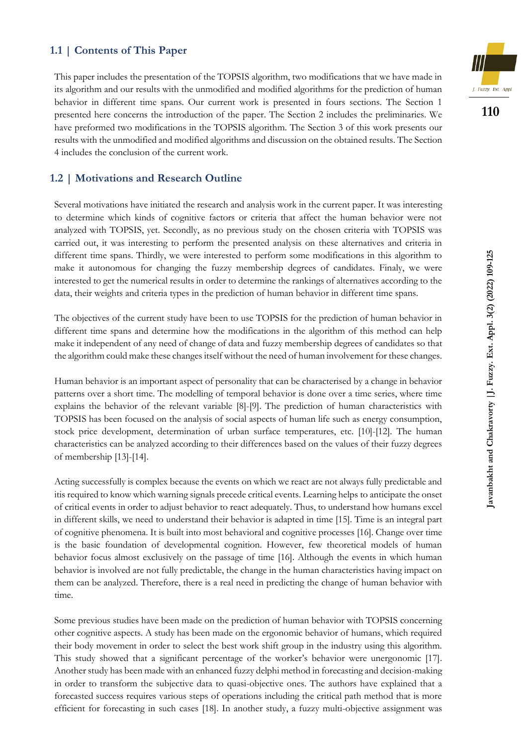### **1.1 | Contents of This Paper**

This paper includes the presentation of the TOPSIS algorithm, two modifications that we have made in its algorithm and our results with the unmodified and modified algorithms for the prediction of human behavior in different time spans. Our current work is presented in fours sections. The Section 1 presented here concerns the introduction of the paper. The Section 2 includes the preliminaries. We have preformed two modifications in the TOPSIS algorithm. The Section 3 of this work presents our results with the unmodified and modified algorithms and discussion on the obtained results. The Section 4 includes the conclusion of the current work.

### **1.2 | Motivations and Research Outline**

Several motivations have initiated the research and analysis work in the current paper. It was interesting to determine which kinds of cognitive factors or criteria that affect the human behavior were not analyzed with TOPSIS, yet. Secondly, as no previous study on the chosen criteria with TOPSIS was carried out, it was interesting to perform the presented analysis on these alternatives and criteria in different time spans. Thirdly, we were interested to perform some modifications in this algorithm to make it autonomous for changing the fuzzy membership degrees of candidates. Finaly, we were interested to get the numerical results in order to determine the rankings of alternatives according to the data, their weights and criteria types in the prediction of human behavior in different time spans.

The objectives of the current study have been to use TOPSIS for the prediction of human behavior in different time spans and determine how the modifications in the algorithm of this method can help make it independent of any need of change of data and fuzzy membership degrees of candidates so that the algorithm could make these changes itself without the need of human involvement for these changes.

Human behavior is an important aspect of personality that can be characterised by a change in behavior patterns over a short time. The modelling of temporal behavior is done over a time series, where time explains the behavior of the relevant variable [8]-[9]. The prediction of human characteristics with TOPSIS has been focused on the analysis of social aspects of human life such as energy consumption, stock price development, determination of urban surface temperatures, etc. [10]-[12]. The human characteristics can be analyzed according to their differences based on the values of their fuzzy degrees of membership [13]-[14].

Acting successfully is complex because the events on which we react are not always fully predictable and itis required to know which warning signals precede critical events. Learning helps to anticipate the onset of critical events in order to adjust behavior to react adequately. Thus, to understand how humans excel in different skills, we need to understand their behavior is adapted in time [15]. Time is an integral part of cognitive phenomena. It is built into most behavioral and cognitive processes [16]. Change over time is the basic foundation of developmental cognition. However, few theoretical models of human behavior focus almost exclusively on the passage of time [16]. Although the events in which human behavior is involved are not fully predictable, the change in the human characteristics having impact on them can be analyzed. Therefore, there is a real need in predicting the change of human behavior with time.

Some previous studies have been made on the prediction of human behavior with TOPSIS concerning other cognitive aspects. A study has been made on the ergonomic behavior of humans, which required their body movement in order to select the best work shift group in the industry using this algorithm. This study showed that a significant percentage of the worker's behavior were unergonomic [17]. Another study has been made with an enhanced fuzzy delphi method in forecasting and decision-making in order to transform the subjective data to quasi-objective ones. The authors have explained that a forecasted success requires various steps of operations including the critical path method that is more efficient for forecasting in such cases [18]. In another study, a fuzzy multi-objective assignment was



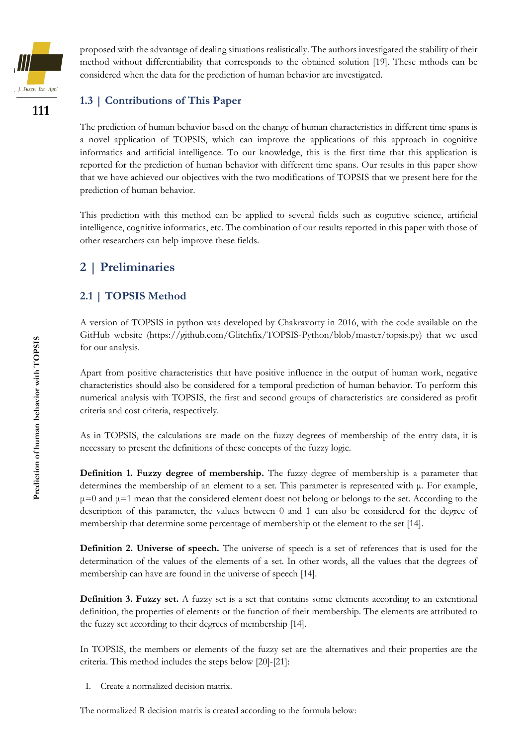

proposed with the advantage of dealing situations realistically. The authors investigated the stability of their method without differentiability that corresponds to the obtained solution [19]. These mthods can be considered when the data for the prediction of human behavior are investigated.

## **1.3 | Contributions of This Paper**

The prediction of human behavior based on the change of human characteristics in different time spans is a novel application of TOPSIS, which can improve the applications of this approach in cognitive informatics and artificial intelligence. To our knowledge, this is the first time that this application is reported for the prediction of human behavior with different time spans. Our results in this paper show that we have achieved our objectives with the two modifications of TOPSIS that we present here for the prediction of human behavior.

This prediction with this method can be applied to several fields such as cognitive science, artificial intelligence, cognitive informatics, etc. The combination of our results reported in this paper with those of other researchers can help improve these fields.

## **2 | Preliminaries**

## **2.1 | TOPSIS Method**

A version of TOPSIS in python was developed by Chakravorty in 2016, with the code available on the GitHub website (https://github.com/Glitchfix/TOPSIS-Python/blob/master/topsis.py) that we used for our analysis.

Apart from positive characteristics that have positive influence in the output of human work, negative characteristics should also be considered for a temporal prediction of human behavior. To perform this numerical analysis with TOPSIS, the first and second groups of characteristics are considered as profit criteria and cost criteria, respectively.

As in TOPSIS, the calculations are made on the fuzzy degrees of membership of the entry data, it is necessary to present the definitions of these concepts of the fuzzy logic.

**Definition 1. Fuzzy degree of membership.** The fuzzy degree of membership is a parameter that determines the membership of an element to a set. This parameter is represented with μ. For example,  $\mu$ =0 and  $\mu$ =1 mean that the considered element doest not belong or belongs to the set. According to the description of this parameter, the values between 0 and 1 can also be considered for the degree of membership that determine some percentage of membership ot the element to the set [14].

**Definition 2. Universe of speech.** The universe of speech is a set of references that is used for the determination of the values of the elements of a set. In other words, all the values that the degrees of membership can have are found in the universe of speech [14].

**Definition 3. Fuzzy set.** A fuzzy set is a set that contains some elements according to an extentional definition, the properties of elements or the function of their membership. The elements are attributed to the fuzzy set according to their degrees of membership [14].

In TOPSIS, the members or elements of the fuzzy set are the alternatives and their properties are the criteria. This method includes the steps below [20]-[21]:

I. Create a normalized decision matrix.

The normalized R decision matrix is created according to the formula below: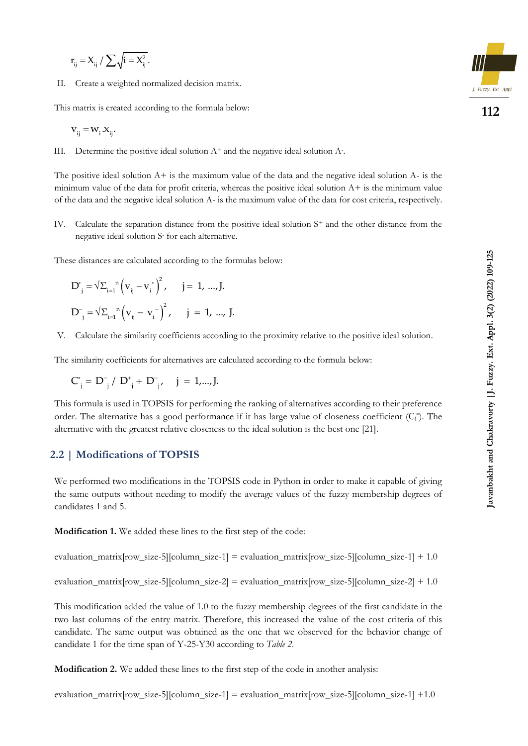$$
r_{ij} = X_{ij} / \sum \sqrt{i = X_{ij}^2}.
$$

II. Create a weighted normalized decision matrix.

This matrix is created according to the formula below:

$$
\mathbf{v}_{ij} = \mathbf{w}_{i} \cdot \mathbf{x}_{ij}.
$$

III. Determine the positive ideal solution  $A^+$  and the negative ideal solution  $A^-$ .

The positive ideal solution  $A+$  is the maximum value of the data and the negative ideal solution  $A-$  is the minimum value of the data for profit criteria, whereas the positive ideal solution  $A+$  is the minimum value of the data and the negative ideal solution A- is the maximum value of the data for cost criteria, respectively.

IV. Calculate the separation distance from the positive ideal solution S<sup>+</sup> and the other distance from the negative ideal solution S- for each alternative.

These distances are calculated according to the formulas below:

$$
D_{j}^{*} = \sqrt{\Sigma_{i=1}}^{n} (v_{ij} - v_{i}^{*})^{2}, \quad j = 1, ..., J.
$$
  

$$
D_{j}^{-} = \sqrt{\Sigma_{i=1}}^{n} (v_{ij} - v_{i}^{-})^{2}, \quad j = 1, ..., J.
$$

V. Calculate the similarity coefficients according to the proximity relative to the positive ideal solution.

The similarity coefficients for alternatives are calculated according to the formula below:

$$
C_{j}^{*} = D_{j}^{-} / D_{j}^{*} + D_{j}^{-}, \quad j = 1,...,J.
$$

This formula is used in TOPSIS for performing the ranking of alternatives according to their preference order. The alternative has a good performance if it has large value of closeness coefficient  $(C_i^*)$ . The alternative with the greatest relative closeness to the ideal solution is the best one [21].

#### **2.2 | Modifications of TOPSIS**

We performed two modifications in the TOPSIS code in Python in order to make it capable of giving the same outputs without needing to modify the average values of the fuzzy membership degrees of candidates 1 and 5.

**Modification 1.** We added these lines to the first step of the code:

evaluation\_matrix[row\_size-5][column\_size-1] = evaluation\_matrix[row\_size-5][column\_size-1] + 1.0

evaluation\_matrix[row\_size-5][column\_size-2] = evaluation\_matrix[row\_size-5][column\_size-2] + 1.0

This modification added the value of 1.0 to the fuzzy membership degrees of the first candidate in the two last columns of the entry matrix. Therefore, this increased the value of the cost criteria of this candidate. The same output was obtained as the one that we observed for the behavior change of candidate 1 for the time span of Y-25-Y30 according to *Table 2*.

**Modification 2.** We added these lines to the first step of the code in another analysis:

evaluation\_matrix[row\_size-5][column\_size-1] = evaluation\_matrix[row\_size-5][column\_size-1] +1.0

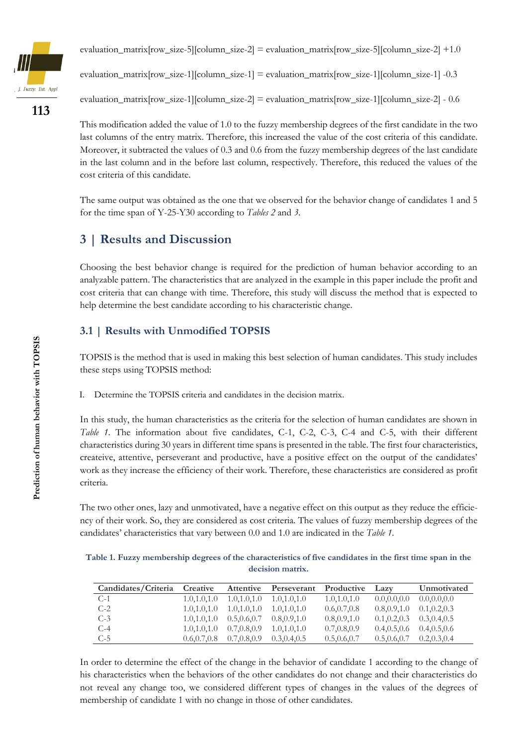

evaluation\_matrix[row\_size-5][column\_size-2] = evaluation\_matrix[row\_size-5][column\_size-2] +1.0

evaluation\_matrix[row\_size-1][column\_size-1] = evaluation\_matrix[row\_size-1][column\_size-1] -0.3

evaluation\_matrix $[row\_size-1][column\_size-2] = evaluation\_matrix[row\_size-1][column\_size-2] - 0.6$ 

This modification added the value of 1.0 to the fuzzy membership degrees of the first candidate in the two last columns of the entry matrix. Therefore, this increased the value of the cost criteria of this candidate. Moreover, it subtracted the values of 0.3 and 0.6 from the fuzzy membership degrees of the last candidate in the last column and in the before last column, respectively. Therefore, this reduced the values of the cost criteria of this candidate.

The same output was obtained as the one that we observed for the behavior change of candidates 1 and 5 for the time span of Y-25-Y30 according to *Tables 2* and *3*.

## **3 | Results and Discussion**

Choosing the best behavior change is required for the prediction of human behavior according to an analyzable pattern. The characteristics that are analyzed in the example in this paper include the profit and cost criteria that can change with time. Therefore, this study will discuss the method that is expected to help determine the best candidate according to his characteristic change.

## **3.1 | Results with Unmodified TOPSIS**

TOPSIS is the method that is used in making this best selection of human candidates. This study includes these steps using TOPSIS method:

I. Determine the TOPSIS criteria and candidates in the decision matrix.

In this study, the human characteristics as the criteria for the selection of human candidates are shown in *Table 1*. The information about five candidates, C-1, C-2, C-3, C-4 and C-5, with their different characteristics during 30 years in different time spans is presented in the table. The first four characteristics, createive, attentive, perseverant and productive, have a positive effect on the output of the candidates' work as they increase the efficiency of their work. Therefore, these characteristics are considered as profit criteria.

The two other ones, lazy and unmotivated, have a negative effect on this output as they reduce the efficiency of their work. So, they are considered as cost criteria. The values of fuzzy membership degrees of the candidates' characteristics that vary between 0.0 and 1.0 are indicated in the *Table 1*.

| Table 1. Fuzzy membership degrees of the characteristics of five candidates in the first time span in the |  |
|-----------------------------------------------------------------------------------------------------------|--|
| decision matrix.                                                                                          |  |

| Candidates/Criteria | Creative      |               | Attentive Perseverant | Productive    | Lazy          | Unmotivated   |
|---------------------|---------------|---------------|-----------------------|---------------|---------------|---------------|
| $C-1$               | 1.0, 1.0, 1.0 | 1.0, 1.0, 1.0 | 1.0, 1.0, 1.0         | 1.0, 1.0, 1.0 | 0.0, 0.0, 0.0 | 0.0, 0.0, 0.0 |
| $C-2$               | 1.0.1.0.1.0   | 1.0, 1.0, 1.0 | 1.0.1.0.1.0           | 0.6, 0.7, 0.8 | 0.8, 0.9, 1.0 | 0.1, 0.2, 0.3 |
| $C-3$               | 1.0, 1.0, 1.0 | 0.5, 0.6, 0.7 | 0.8, 0.9, 1.0         | 0.8, 0.9, 1.0 | 0.1, 0.2, 0.3 | 0.3, 0.4, 0.5 |
| $C-4$               | 1.0.1.0.1.0   | 0.7, 0.8, 0.9 | 1.0.1.0.1.0           | 0.7, 0.8, 0.9 | 0.4, 0.5, 0.6 | 0.4, 0.5, 0.6 |
| $C-5$               | 0.6, 0.7, 0.8 | 0.7, 0.8, 0.9 | 0.3, 0.4, 0.5         | 0.5, 0.6, 0.7 | 0.5.0.6.0.7   | 0.2, 0.3, 0.4 |

In order to determine the effect of the change in the behavior of candidate 1 according to the change of his characteristics when the behaviors of the other candidates do not change and their characteristics do not reveal any change too, we considered different types of changes in the values of the degrees of membership of candidate 1 with no change in those of other candidates.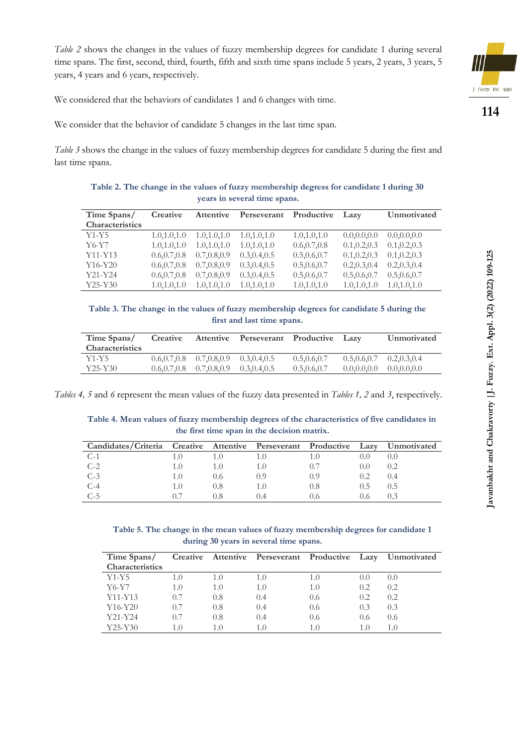*Table 2* shows the changes in the values of fuzzy membership degrees for candidate 1 during several time spans. The first, second, third, fourth, fifth and sixth time spans include 5 years, 2 years, 3 years, 5 years, 4 years and 6 years, respectively.



**114**

We considered that the behaviors of candidates 1 and 6 changes with time.

We consider that the behavior of candidate 5 changes in the last time span.

*Table 3* shows the change in the values of fuzzy membership degrees for candidate 5 during the first and last time spans.

**Table 2. The change in the values of fuzzy membership degress for candidate 1 during 30 years in several time spans.**

| Time Spans/            | Creative      | <b>Attentive</b> | Perseverant   | Productive    | Lazy          | Unmotivated   |
|------------------------|---------------|------------------|---------------|---------------|---------------|---------------|
| <b>Characteristics</b> |               |                  |               |               |               |               |
| $Y1-Y5$                | 1.0, 1.0, 1.0 | 1.0, 1.0, 1.0    | 1.0, 1.0, 1.0 | 1.0, 1.0, 1.0 | 0.0, 0.0, 0.0 | 0.0, 0.0, 0.0 |
| Y6-Y7                  | 1.0, 1.0, 1.0 | 1.0, 1.0, 1.0    | 1.0, 1.0, 1.0 | 0.6, 0.7, 0.8 | 0.1, 0.2, 0.3 | 0.1, 0.2, 0.3 |
| $Y11-Y13$              | 0.6, 0.7, 0.8 | 0.7, 0.8, 0.9    | 0.3, 0.4, 0.5 | 0.5, 0.6, 0.7 | 0.1, 0.2, 0.3 | 0.1, 0.2, 0.3 |
| $Y16-Y20$              | 0.6, 0.7, 0.8 | 0.7, 0.8, 0.9    | 0.3, 0.4, 0.5 | 0.5, 0.6, 0.7 | 0.2, 0.3, 0.4 | 0.2, 0.3, 0.4 |
| $Y21-Y24$              | 0.6, 0.7, 0.8 | 0.7, 0.8, 0.9    | 0.3, 0.4, 0.5 | 0.5, 0.6, 0.7 | 0.5, 0.6, 0.7 | 0.5, 0.6, 0.7 |
| $Y25-Y30$              | 1.0, 1.0, 1.0 | 1.0, 1.0, 1.0    | 1.0, 1.0, 1.0 | 1.0, 1.0, 1.0 | 1.0, 1.0, 1.0 | 1.0, 1.0, 1.0 |

**Table 3. The change in the values of fuzzy membership degrees for candidate 5 during the first and last time spans.**

| Time Spans/<br><b>Characteristics</b> | Creative |                                                 | Attentive Perseverant Productive Lazy |               |                                 | Unmotivated   |
|---------------------------------------|----------|-------------------------------------------------|---------------------------------------|---------------|---------------------------------|---------------|
| Y1-Y5                                 |          | $0.6, 0.7, 0.8$ $0.7, 0.8, 0.9$ $0.3, 0.4, 0.5$ |                                       | 0.5, 0.6, 0.7 | $0.5, 0.6, 0.7$ $0.2, 0.3, 0.4$ |               |
| Y25-Y30                               |          | $0.6, 0.7, 0.8$ $0.7, 0.8, 0.9$                 | 0.3, 0.4, 0.5                         | 0.5, 0.6, 0.7 | 0.0, 0.0, 0.0                   | 0.0, 0.0, 0.0 |

*Tables 4, 5* and *6* represent the mean values of the fuzzy data presented in *Tables 1, 2* and *3*, respectively.

**Table 4. Mean values of fuzzy membership degrees of the characteristics of five candidates in the first time span in the decision matrix.**

| Candidates/Criteria Creative Attentive Perseverant Productive Lazy |     |               |        | Unmotivated |
|--------------------------------------------------------------------|-----|---------------|--------|-------------|
| C-1                                                                |     | 1.0           |        |             |
| $C-2$                                                              |     | 0.7           | (0, 0) |             |
| $C-3$                                                              | 0.6 | 0.9           | 0.2    | (1,4)       |
| C-4                                                                | 0.8 | 0.8           | ().5   | U.5         |
| $C-5$                                                              |     | $0.6^{\circ}$ | U.G    |             |

**Table 5. The change in the mean values of fuzzy membership degrees for candidate 1 during 30 years in several time spans.**

| Time Spans/<br><b>Characteristics</b> |     |     |       |      |       | Creative Attentive Perseverant Productive Lazy Unmotivated |
|---------------------------------------|-----|-----|-------|------|-------|------------------------------------------------------------|
| $Y1-Y5$                               | 1.0 | 1.0 | 1.0   | 1.0  | (0,0) | 0.0                                                        |
| Y6-Y7                                 | 1.0 | 1.0 | 1.0   | 1.0  | 0.2   | 0.2                                                        |
| $Y11-Y13$                             | 0.7 | 0.8 | (0.4) | 0.6  | 0.2   | 0.2                                                        |
| $Y16-Y20$                             | 0.7 | 0.8 | 0.4   | 0.6  | 0.3   | 0.3                                                        |
| Y21-Y24                               | 0.7 | 0.8 | (0.4) | 0.6  | 0.6   | 0.6                                                        |
| $Y25-Y30$                             | 1.0 | 1.0 | 1.0   | 1(0) | 1.0   | 1.0                                                        |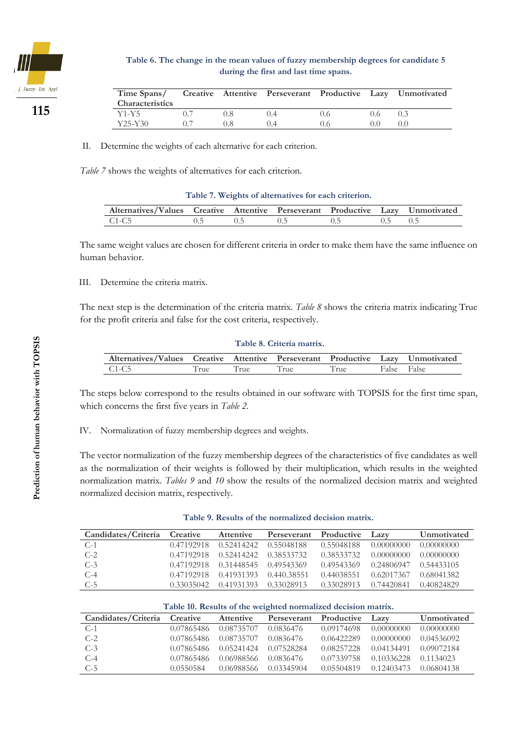

**Table 6. The change in the mean values of fuzzy membership degrees for candidate 5 during the first and last time spans.**

| Time Spans/<br><b>Characteristics</b> |     |      |     |               | Creative Attentive Perseverant Productive Lazy Unmotivated |
|---------------------------------------|-----|------|-----|---------------|------------------------------------------------------------|
| Y1-Y5                                 | 0.8 | (14) | 0.6 | 0.6           |                                                            |
| Y25-Y30                               |     |      | 0.6 | $( )_{0} ( )$ |                                                            |

II. Determine the weights of each alternative for each criterion.

*Table 7* shows the weights of alternatives for each criterion.

|  | Table 7. Weights of alternatives for each criterion. |  |
|--|------------------------------------------------------|--|
|  |                                                      |  |

| Alternatives/Values Creative Attentive Perseverant Productive Lazy Unmotivated |  |  |  |
|--------------------------------------------------------------------------------|--|--|--|
| $C1-C5$                                                                        |  |  |  |

The same weight values are chosen for different criteria in order to make them have the same influence on human behavior.

#### III. Determine the criteria matrix.

The next step is the determination of the criteria matrix. *Table 8* shows the criteria matrix indicating True for the profit criteria and false for the cost criteria, respectively.

#### **Table 8. Criteria matrix.**

| Alternatives/Values Creative Attentive Perseverant Productive Lazy Unmotivated |               |      |      |      |             |
|--------------------------------------------------------------------------------|---------------|------|------|------|-------------|
| C1-C5                                                                          | $r_{\rm rue}$ | True | True | True | False False |

The steps below correspond to the results obtained in our software with TOPSIS for the first time span, which concerns the first five years in *Table 2*.

IV. Normalization of fuzzy membership degrees and weights.

The vector normalization of the fuzzy membership degrees of the characteristics of five candidates as well as the normalization of their weights is followed by their multiplication, which results in the weighted normalization matrix. *Tables 9* and *10* show the results of the normalized decision matrix and weighted normalized decision matrix, respectively.

|  |  | Table 9. Results of the normalized decision matrix. |
|--|--|-----------------------------------------------------|
|--|--|-----------------------------------------------------|

| Candidates/Criteria Creative |            | <b>Attentive</b> | Perseverant Productive |            | Lazy       | Unmotivated |
|------------------------------|------------|------------------|------------------------|------------|------------|-------------|
| $C-1$                        | 0.47192918 | 0.52414242       | 0.55048188             | 0.55048188 | 0.00000000 | 0.00000000  |
| $C-2$                        | 0.47192918 | 0.52414242       | 0.38533732             | 0.38533732 | 0.00000000 | 0.00000000  |
| $C-3$                        | 0.47192918 | 0.31448545       | 0.49543369             | 0.49543369 | 0.24806947 | 0.54433105  |
| $C-4$                        | 0.47192918 | 0.41931393       | 0.440.38551            | 0.44038551 | 0.62017367 | 0.68041382  |
| $C-5$                        | 0.33035042 | 0.41931393       | 0.33028913             | 0.33028913 | 0.74420841 | 0.40824829  |

| Table 10. Results of the weighted normalized decision matrix. |            |            |             |            |            |             |
|---------------------------------------------------------------|------------|------------|-------------|------------|------------|-------------|
| Candidates/Criteria                                           | Creative   | Attentive  | Perseverant | Productive | Lazy       | Unmotivated |
| $C-1$                                                         | 0.07865486 | 0.08735707 | 0.0836476   | 0.09174698 | 0.00000000 | 0.00000000  |
| $C-2$                                                         | 0.07865486 | 0.08735707 | 0.0836476   | 0.06422289 | 0.00000000 | 0.04536092  |
| $C-3$                                                         | 0.07865486 | 0.05241424 | 0.07528284  | 0.08257228 | 0.04134491 | 0.09072184  |
| $C-4$                                                         | 0.07865486 | 0.06988566 | 0.0836476   | 0.07339758 | 0.10336228 | 0.1134023   |
| $C-5$                                                         | 0.0550584  | 0.06988566 | 0.03345904  | 0.05504819 | 0.12403473 | 0.06804138  |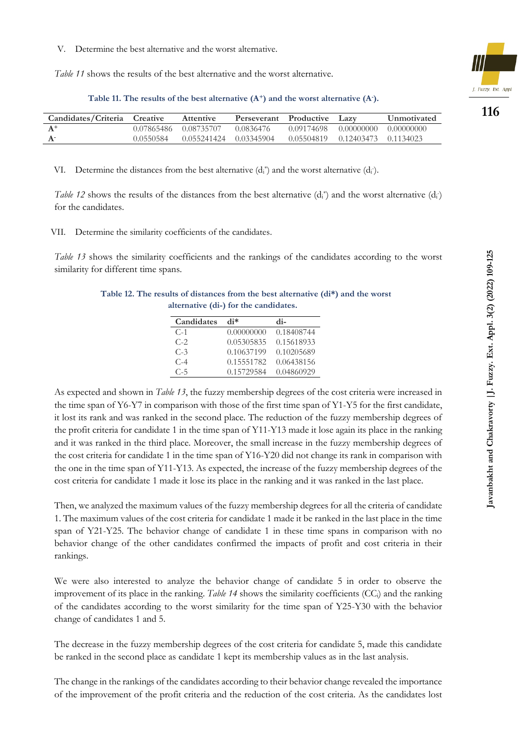V. Determine the best alternative and the worst alternative.

*Table 11* shows the results of the best alternative and the worst alternative.

**Table 11. The results of the best alternative (A+) and the worst alternative (A-).**

| Candidates/Criteria Creative |            | <b>Attentive</b> | Perseverant Productive |            | Lazy                 | <b>Unmotivated</b> |
|------------------------------|------------|------------------|------------------------|------------|----------------------|--------------------|
|                              | 0.07865486 | 0.08735707       | 0.0836476              | 0.09174698 | 0.00000000           | 0.00000000         |
|                              | 0.0550584  | 0.055241424      | 0.03345904             | 0.05504819 | 0.12403473 0.1134023 |                    |

VI. Determine the distances from the best alternative  $(d_i^*)$  and the worst alternative  $(d_i)$ .

*Table 12* shows the results of the distances from the best alternative  $(d_i^*)$  and the worst alternative  $(d_i)$ for the candidates.

VII. Determine the similarity coefficients of the candidates.

*Table 13* shows the similarity coefficients and the rankings of the candidates according to the worst similarity for different time spans.

**Table 12. The results of distances from the best alternative (di\*) and the worst alternative (di-) for the candidates.**

| Candidates | $\mathbf{d}$ i $\ast$ | di-        |
|------------|-----------------------|------------|
| $C-1$      | 0.00000000            | 0.18408744 |
| $C-2$      | 0.05305835            | 0.15618933 |
| $C-3$      | 0.10637199            | 0.10205689 |
| $C-4$      | 0.15551782            | 0.06438156 |
| $C-5$      | 0.15729584            | 0.04860929 |

As expected and shown in *Table 13*, the fuzzy membership degrees of the cost criteria were increased in the time span of Y6-Y7 in comparison with those of the first time span of Y1-Y5 for the first candidate, it lost its rank and was ranked in the second place. The reduction of the fuzzy membership degrees of the profit criteria for candidate 1 in the time span of Y11-Y13 made it lose again its place in the ranking and it was ranked in the third place. Moreover, the small increase in the fuzzy membership degrees of the cost criteria for candidate 1 in the time span of Y16-Y20 did not change its rank in comparison with the one in the time span of Y11-Y13. As expected, the increase of the fuzzy membership degrees of the cost criteria for candidate 1 made it lose its place in the ranking and it was ranked in the last place.

Then, we analyzed the maximum values of the fuzzy membership degrees for all the criteria of candidate 1. The maximum values of the cost criteria for candidate 1 made it be ranked in the last place in the time span of Y21-Y25. The behavior change of candidate 1 in these time spans in comparison with no behavior change of the other candidates confirmed the impacts of profit and cost criteria in their rankings.

We were also interested to analyze the behavior change of candidate 5 in order to observe the improvement of its place in the ranking. *Table 14* shows the similarity coefficients (CCi) and the ranking of the candidates according to the worst similarity for the time span of Y25-Y30 with the behavior change of candidates 1 and 5.

The decrease in the fuzzy membership degrees of the cost criteria for candidate 5, made this candidate be ranked in the second place as candidate 1 kept its membership values as in the last analysis.

The change in the rankings of the candidates according to their behavior change revealed the importance of the improvement of the profit criteria and the reduction of the cost criteria. As the candidates lost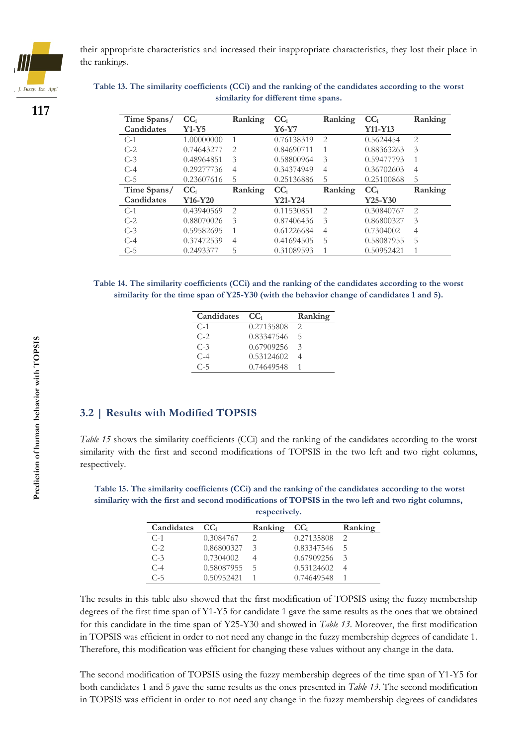

their appropriate characteristics and increased their inappropriate characteristics, they lost their place in the rankings.

## **117**

**Table 13. The similarity coefficients (CCi) and the ranking of the candidates according to the worst similarity for different time spans.**

| Time Spans/<br>Candidates | CC <sub>i</sub><br>$Y1-Y5$ | Ranking                     | CC <sub>i</sub><br>Y6-Y7 | Ranking        | CC <sub>i</sub><br>$Y11-Y13$ | Ranking        |
|---------------------------|----------------------------|-----------------------------|--------------------------|----------------|------------------------------|----------------|
| $C-1$                     | 1.00000000                 | $\mathbf{1}$                | 0.76138319               | $\mathfrak{D}$ | 0.5624454                    | $\mathfrak{D}$ |
| $C-2$                     | 0.74643277                 | $\mathcal{D}_{\mathcal{L}}$ | 0.84690711               |                | 0.88363263                   | 3              |
| $C-3$                     | 0.48964851                 | 3                           | 0.58800964               | 3              | 0.59477793                   |                |
| $C-4$                     | 0.29277736                 | $\overline{4}$              | 0.34374949               | $\overline{4}$ | 0.36702603                   | $\overline{4}$ |
| $C-5$                     | 0.23607616                 | 5                           | 0.25136886               | 5              | 0.25100868                   | 5              |
| Time Spans/               | CC <sub>i</sub>            | Ranking                     | CC <sub>i</sub>          | Ranking        | CC <sub>i</sub>              | Ranking        |
| Candidates                | Y16-Y20                    |                             | $Y21-Y24$                |                | $Y25-Y30$                    |                |
| $C-1$                     | 0.43940569                 | $\mathfrak{D}$              | 0.11530851               | $\mathcal{L}$  | 0.30840767                   | $\mathcal{L}$  |
| $C-2$                     | 0.88070026                 | 3                           | 0.87406436               | 3              | 0.86800327                   | 3              |
| $C-3$                     | 0.59582695                 | 1                           | 0.61226684               | $\overline{4}$ | 0.7304002                    | $\overline{4}$ |
| $C-4$                     | 0.37472539                 | $\overline{4}$              | 0.41694505               | 5              | 0.58087955                   | 5              |
| $C-5$                     | 0.2493377                  | 5                           | 0.31089593               |                | 0.50952421                   |                |

**Table 14. The similarity coefficients (CCi) and the ranking of the candidates according to the worst similarity for the time span of Y25-Y30 (with the behavior change of candidates 1 and 5).**

| Candidates | CC.        | Ranking       |
|------------|------------|---------------|
| $C-1$      | 0.27135808 |               |
| $C-2$      | 0.83347546 | -5            |
| $C-3$      | 0.67909256 | $\mathcal{R}$ |
| $C-4$      | 0.53124602 |               |
| $C-5$      | 0.74649548 |               |

### **3.2 | Results with Modified TOPSIS**

*Table 15* shows the similarity coefficients (CCi) and the ranking of the candidates according to the worst similarity with the first and second modifications of TOPSIS in the two left and two right columns, respectively.

**Table 15. The similarity coefficients (CCi) and the ranking of the candidates according to the worst similarity with the first and second modifications of TOPSIS in the two left and two right columns, respectively.**

| Candidates | CC.        | Ranking | CC <sub>i</sub> | Ranking |
|------------|------------|---------|-----------------|---------|
| $C-1$      | 0.3084767  |         | 0.27135808      |         |
| $C-2$      | 0.86800327 | 3       | 0.83347546      | h       |
| $C-3$      | 0.7304002  |         | 0.67909256      |         |
| $C-4$      | 0.58087955 | h       | 0.53124602      |         |
| $C-5$      | 0.50952421 |         | 0.74649548      |         |

The results in this table also showed that the first modification of TOPSIS using the fuzzy membership degrees of the first time span of Y1-Y5 for candidate 1 gave the same results as the ones that we obtained for this candidate in the time span of Y25-Y30 and showed in *Table 13*. Moreover, the first modification in TOPSIS was efficient in order to not need any change in the fuzzy membership degrees of candidate 1. Therefore, this modification was efficient for changing these values without any change in the data.

The second modification of TOPSIS using the fuzzy membership degrees of the time span of Y1-Y5 for both candidates 1 and 5 gave the same results as the ones presented in *Table 13*. The second modification in TOPSIS was efficient in order to not need any change in the fuzzy membership degrees of candidates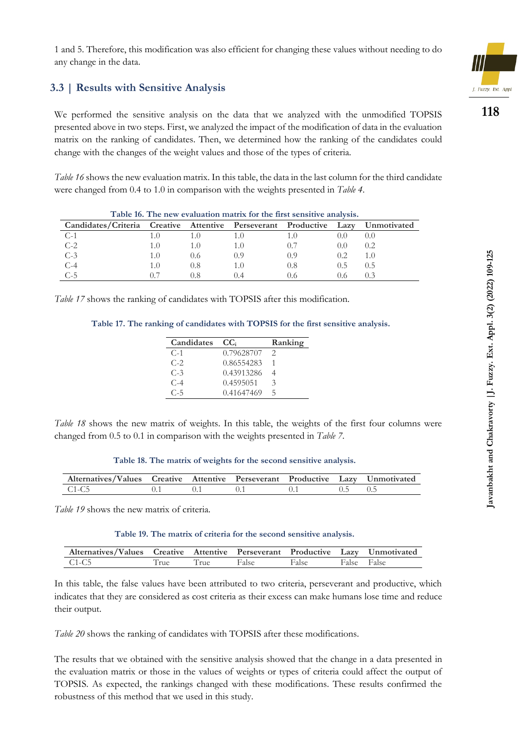1 and 5. Therefore, this modification was also efficient for changing these values without needing to do any change in the data.

### **3.3 | Results with Sensitive Analysis**

We performed the sensitive analysis on the data that we analyzed with the unmodified TOPSIS presented above in two steps. First, we analyzed the impact of the modification of data in the evaluation matrix on the ranking of candidates. Then, we determined how the ranking of the candidates could change with the changes of the weight values and those of the types of criteria.

*Table 16* shows the new evaluation matrix. In this table, the data in the last column for the third candidate were changed from 0.4 to 1.0 in comparison with the weights presented in *Table 4*.

| Table 16. The new evaluation matrix for the first sensitive analysis. |     |               |  |       |        |             |
|-----------------------------------------------------------------------|-----|---------------|--|-------|--------|-------------|
| Candidates/Criteria Creative Attentive Perseverant Productive Lazy    |     |               |  |       |        | Unmotivated |
| $C-1$                                                                 |     |               |  |       | (0, 0) |             |
| $C-2$                                                                 |     | 1.O           |  |       | (0,0)  | 0.2         |
| $C-3$                                                                 |     | $0.6^{\circ}$ |  | (0.9) | 0.2    |             |
| $C-4$                                                                 | 1.O | 0.8           |  | 0.8   | (1.5)  | (1.5)       |
| $C-5$                                                                 |     | 0.8           |  |       | 0.0    |             |

*Table 17* shows the ranking of candidates with TOPSIS after this modification.

**Table 17. The ranking of candidates with TOPSIS for the first sensitive analysis.**

| Candidates | CC.        | Ranking |
|------------|------------|---------|
| $C-1$      | 0.79628707 |         |
| $C-2$      | 0.86554283 |         |
| $C-3$      | 0.43913286 |         |
| $C-4$      | 0.4595051  | 3       |
| $C-5$      | 0.41647469 | ╮       |

*Table 18* shows the new matrix of weights. In this table, the weights of the first four columns were changed from 0.5 to 0.1 in comparison with the weights presented in *Table 7*.

**Table 18. The matrix of weights for the second sensitive analysis.**

| Alternatives/Values Creative Attentive Perseverant Productive Lazy Unmotivated |  |  |  |
|--------------------------------------------------------------------------------|--|--|--|
| $C1-C5$                                                                        |  |  |  |

*Table 19* shows the new matrix of criteria.

l,

**Table 19. The matrix of criteria for the second sensitive analysis.**

| Alternatives/Values Creative Attentive Perseverant Productive Lazy Unmotivated |      |      |       |       |             |  |
|--------------------------------------------------------------------------------|------|------|-------|-------|-------------|--|
| $C1-C5$                                                                        | True | True | False | False | False False |  |

In this table, the false values have been attributed to two criteria, perseverant and productive, which indicates that they are considered as cost criteria as their excess can make humans lose time and reduce their output.

*Table 20* shows the ranking of candidates with TOPSIS after these modifications.

The results that we obtained with the sensitive analysis showed that the change in a data presented in the evaluation matrix or those in the values of weights or types of criteria could affect the output of TOPSIS. As expected, the rankings changed with these modifications. These results confirmed the robustness of this method that we used in this study.

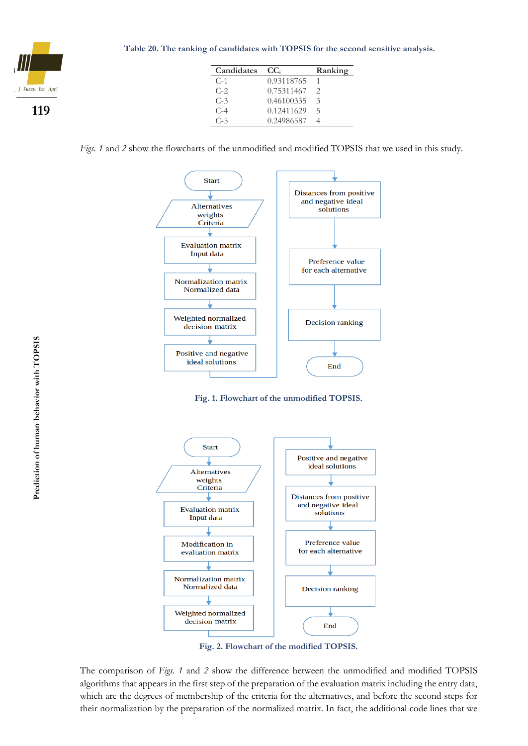

| Candidates | CC <sub>i</sub> | Ranking |
|------------|-----------------|---------|
| $C-1$      | 0.93118765      |         |
| $C-2$      | 0.75311467      | 2       |
| $C-3$      | 0.46100335      | 3       |
| $C-4$      | 0.12411629      | ╮       |
| $C-5$      | 0.24986587      |         |

*Figs. 1* and *2* show the flowcharts of the unmodified and modified TOPSIS that we used in this study.







**Fig. 2. Flowchart of the modified TOPSIS.**

The comparison of *Figs. 1* and *2* show the difference between the unmodified and modified TOPSIS algorithms that appears in the first step of the preparation of the evaluation matrix including the entry data, which are the degrees of membership of the criteria for the alternatives, and before the second steps for their normalization by the preparation of the normalized matrix. In fact, the additional code lines that we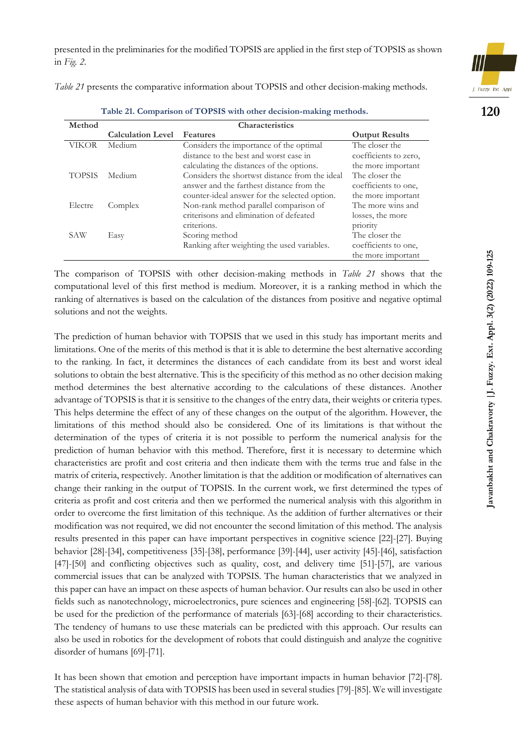presented in the preliminaries for the modified TOPSIS are applied in the first step of TOPSIS as shown in *Fig. 2*.

*Table 21* presents the comparative information about TOPSIS and other decision-making methods.

| Method       |                          | Characteristics                                |                       |
|--------------|--------------------------|------------------------------------------------|-----------------------|
|              | <b>Calculation Level</b> | <b>Features</b>                                | <b>Output Results</b> |
| <b>VIKOR</b> | Medium                   | Considers the importance of the optimal        | The closer the        |
|              |                          | distance to the best and worst case in         | coefficients to zero, |
|              |                          | calculating the distances of the options.      | the more important    |
| TOPSIS       | Medium                   | Considers the shortwst distance from the ideal | The closer the        |
|              |                          | answer and the farthest distance from the      | coefficients to one,  |
|              |                          | counter-ideal answer for the selected option.  | the more important    |
| Electre      | Complex                  | Non-rank method parallel comparison of         | The more wins and     |
|              |                          | criterisons and elimination of defeated        | losses, the more      |
|              |                          | criterions.                                    | priority              |
| SAW          | Easy                     | Scoring method                                 | The closer the        |
|              |                          | Ranking after weighting the used variables.    | coefficients to one,  |
|              |                          |                                                | the more important    |

**Table 21. Comparison of TOPSIS with other decision-making methods.**

The comparison of TOPSIS with other decision-making methods in *Table 21* shows that the computational level of this first method is medium. Moreover, it is a ranking method in which the ranking of alternatives is based on the calculation of the distances from positive and negative optimal solutions and not the weights.

The prediction of human behavior with TOPSIS that we used in this study has important merits and limitations. One of the merits of this method is that it is able to determine the best alternative according to the ranking. In fact, it determines the distances of each candidate from its best and worst ideal solutions to obtain the best alternative. This is the specificity of this method as no other decision making method determines the best alternative according to the calculations of these distances. Another advantage of TOPSIS is that it is sensitive to the changes of the entry data, their weights or criteria types. This helps determine the effect of any of these changes on the output of the algorithm. However, the limitations of this method should also be considered. One of its limitations is that without the determination of the types of criteria it is not possible to perform the numerical analysis for the prediction of human behavior with this method. Therefore, first it is necessary to determine which characteristics are profit and cost criteria and then indicate them with the terms true and false in the matrix of criteria, respectively. Another limitation is that the addition or modification of alternatives can change their ranking in the output of TOPSIS. In the current work, we first determined the types of criteria as profit and cost criteria and then we performed the numerical analysis with this algorithm in order to overcome the first limitation of this technique. As the addition of further alternatives or their modification was not required, we did not encounter the second limitation of this method. The analysis results presented in this paper can have important perspectives in cognitive science [22]-[27]. Buying behavior [28]-[34], competitiveness [35]-[38], performance [39]-[44], user activity [45]-[46], satisfaction [47]-[50] and conflicting objectives such as quality, cost, and delivery time [51]-[57], are various commercial issues that can be analyzed with TOPSIS. The human characteristics that we analyzed in this paper can have an impact on these aspects of human behavior. Our results can also be used in other fields such as nanotechnology, microelectronics, pure sciences and engineering [58]-[62]. TOPSIS can be used for the prediction of the performance of materials [63]-[68] according to their characteristics. The tendency of humans to use these materials can be predicted with this approach. Our results can also be used in robotics for the development of robots that could distinguish and analyze the cognitive disorder of humans [69]-[71].

It has been shown that emotion and perception have important impacts in human behavior [72]-[78]. The statistical analysis of data with TOPSIS has been used in several studies [79]-[85]. We will investigate these aspects of human behavior with this method in our future work.

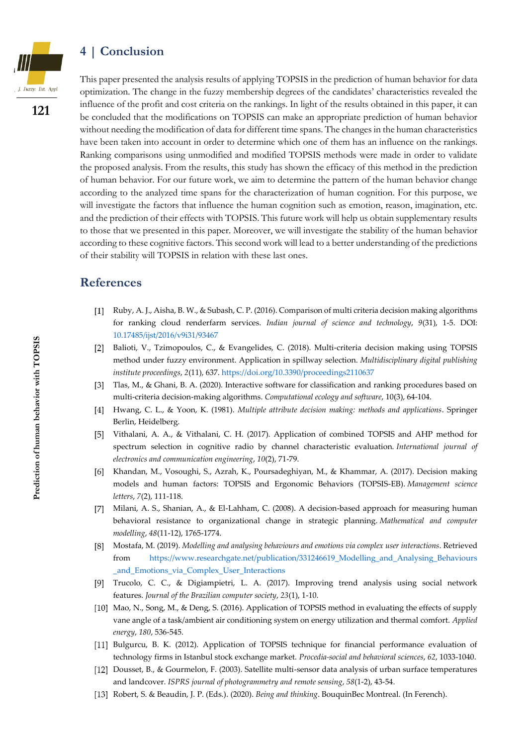## **4 | Conclusion**



**121**

This paper presented the analysis results of applying TOPSIS in the prediction of human behavior for data optimization. The change in the fuzzy membership degrees of the candidates' characteristics revealed the influence of the profit and cost criteria on the rankings. In light of the results obtained in this paper, it can be concluded that the modifications on TOPSIS can make an appropriate prediction of human behavior without needing the modification of data for different time spans. The changes in the human characteristics have been taken into account in order to determine which one of them has an influence on the rankings. Ranking comparisons using unmodified and modified TOPSIS methods were made in order to validate the proposed analysis. From the results, this study has shown the efficacy of this method in the prediction of human behavior. For our future work, we aim to determine the pattern of the human behavior change according to the analyzed time spans for the characterization of human cognition. For this purpose, we will investigate the factors that influence the human cognition such as emotion, reason, imagination, etc. and the prediction of their effects with TOPSIS. This future work will help us obtain supplementary results to those that we presented in this paper. Moreover, we will investigate the stability of the human behavior according to these cognitive factors. This second work will lead to a better understanding of the predictions of their stability will TOPSIS in relation with these last ones.

## **References**

- Ruby, A. J., Aisha, B. W., & Subash, C. P. (2016). Comparison of multi criteria decision making algorithms for ranking cloud renderfarm services. *Indian journal of science and technology*, *9*(31), 1-5. DOI: [10.17485/ijst/2016/v9i31/93467](file:///C:/Users/pourqasem/Download/10.17485/ijst/2016/v9i31/93467)
- Balioti, V., Tzimopoulos, C., & Evangelides, C. (2018). Multi-criteria decision making using TOPSIS  $\lceil 2 \rceil$ method under fuzzy environment. Application in spillway selection. *Multidisciplinary digital publishing institute proceedings*, *2*(11), 637[. https://doi.org/10.3390/proceedings2110637](https://doi.org/10.3390/proceedings2110637)
- Tlas, M., & Ghani, B. A. (2020). Interactive software for classification and ranking procedures based on multi-criteria decision-making algorithms. *Computational ecology and software*, 10(3), 64-104.
- Hwang, C. L., & Yoon, K. (1981). *Multiple attribute decision making: methods and applications*. Springer Berlin, Heidelberg.
- Vithalani, A. A., & Vithalani, C. H. (2017). Application of combined TOPSIS and AHP method for - 151 spectrum selection in cognitive radio by channel characteristic evaluation. *International journal of electronics and communication engineering*, *10*(2), 71-79.
- [6] Khandan, M., Vosoughi, S., Azrah, K., Poursadeghiyan, M., & Khammar, A. (2017). Decision making models and human factors: TOPSIS and Ergonomic Behaviors (TOPSIS-EB). *Management science letters*, *7*(2), 111-118.
- Milani, A. S., Shanian, A., & El-Lahham, C. (2008). A decision-based approach for measuring human behavioral resistance to organizational change in strategic planning. *Mathematical and computer modelling*, *48*(11-12), 1765-1774.
- Mostafa, M. (2019). *Modelling and analysing behaviours and emotions via complex user interactions*. Retrieved from [https://www.researchgate.net/publication/331246619\\_Modelling\\_and\\_Analysing\\_Behaviours](https://www.researchgate.net/publication/331246619_Modelling_and_Analysing_Behaviours%0b_and_Emotions_via_Complex_User_Interactions) [\\_and\\_Emotions\\_via\\_Complex\\_User\\_Interactions](https://www.researchgate.net/publication/331246619_Modelling_and_Analysing_Behaviours%0b_and_Emotions_via_Complex_User_Interactions)
- Trucolo, C. C., & Digiampietri, L. A. (2017). Improving trend analysis using social network features. *Journal of the Brazilian computer society*, *23*(1), 1-10.
- [10] Mao, N., Song, M., & Deng, S. (2016). Application of TOPSIS method in evaluating the effects of supply vane angle of a task/ambient air conditioning system on energy utilization and thermal comfort. *Applied energy*, *180*, 536-545.
- [11] Bulgurcu, B. K. (2012). Application of TOPSIS technique for financial performance evaluation of technology firms in Istanbul stock exchange market. *Procedia-social and behavioral sciences*, *62*, 1033-1040.
- Dousset, B., & Gourmelon, F. (2003). Satellite multi-sensor data analysis of urban surface temperatures and landcover. *ISPRS journal of photogrammetry and remote sensing*, *58*(1-2), 43-54.
- Robert, S. & Beaudin, J. P. (Eds.). (2020). *Being and thinking*. BouquinBec Montreal. (In Ferench).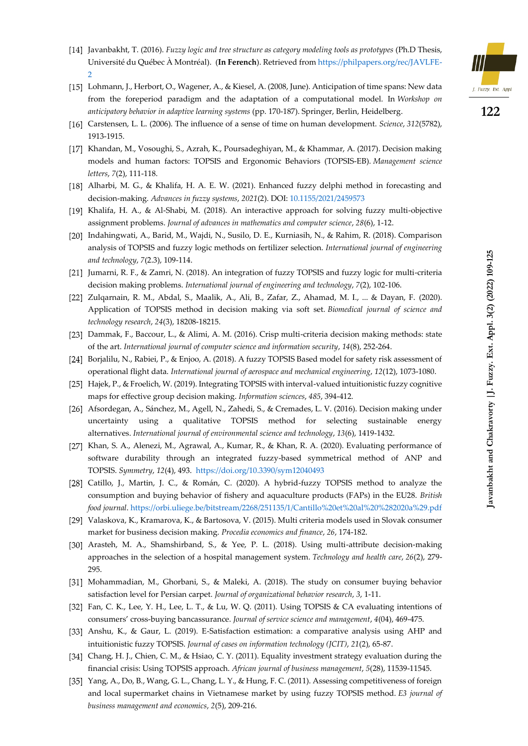

- Javanbakht, T. (2016). *Fuzzy logic and tree structure as category modeling tools as prototypes* (Ph.D Thesis, Université du Québec À Montréal). (**In Ferench**). Retrieved from [https://philpapers.org/rec/JAVLFE-](https://philpapers.org/rec/JAVLFE-2)[2](https://philpapers.org/rec/JAVLFE-2)
- Lohmann, J., Herbort, O., Wagener, A., & Kiesel, A. (2008, June). Anticipation of time spans: New data from the foreperiod paradigm and the adaptation of a computational model. In *Workshop on anticipatory behavior in adaptive learning systems* (pp. 170-187). Springer, Berlin, Heidelberg.
- Carstensen, L. L. (2006). The influence of a sense of time on human development. *Science*, *312*(5782), 1913-1915.
- [17] Khandan, M., Vosoughi, S., Azrah, K., Poursadeghiyan, M., & Khammar, A. (2017). Decision making models and human factors: TOPSIS and Ergonomic Behaviors (TOPSIS-EB). *Management science letters*, *7*(2), 111-118.
- [18] Alharbi, M. G., & Khalifa, H. A. E. W. (2021). Enhanced fuzzy delphi method in forecasting and decision-making. *Advances in fuzzy systems*, *2021*(2). DOI: [10.1155/2021/2459573](http://dx.doi.org/10.1155/2021/2459573)
- [19] Khalifa, H. A., & Al-Shabi, M. (2018). An interactive approach for solving fuzzy multi-objective assignment problems. *Journal of advances in mathematics and computer science*, *28*(6), 1-12.
- Indahingwati, A., Barid, M., Wajdi, N., Susilo, D. E., Kurniasih, N., & Rahim, R. (2018). Comparison analysis of TOPSIS and fuzzy logic methods on fertilizer selection. *International journal of engineering and technology*, *7*(2.3), 109-114.
- [21] Jumarni, R. F., & Zamri, N. (2018). An integration of fuzzy TOPSIS and fuzzy logic for multi-criteria decision making problems. *International journal of engineering and technology*, *7*(2), 102-106.
- [22] Zulqarnain, R. M., Abdal, S., Maalik, A., Ali, B., Zafar, Z., Ahamad, M. I., ... & Dayan, F. (2020). Application of TOPSIS method in decision making via soft set. *Biomedical journal of science and technology research*, *24*(3), 18208-18215.
- Dammak, F., Baccour, L., & Alimi, A. M. (2016). Crisp multi-criteria decision making methods: state of the art. *International journal of computer science and information security*, *14*(8), 252-264.
- Borjalilu, N., Rabiei, P., & Enjoo, A. (2018). A fuzzy TOPSIS Based model for safety risk assessment of operational flight data. *International journal of aerospace and mechanical engineering*, *12*(12), 1073-1080.
- [25] Hajek, P., & Froelich, W. (2019). Integrating TOPSIS with interval-valued intuitionistic fuzzy cognitive maps for effective group decision making. *Information sciences*, *485*, 394-412.
- [26] Afsordegan, A., Sánchez, M., Agell, N., Zahedi, S., & Cremades, L. V. (2016). Decision making under uncertainty using a qualitative TOPSIS method for selecting sustainable energy alternatives. *International journal of environmental science and technology*, *13*(6), 1419-1432.
- [27] Khan, S. A., Alenezi, M., Agrawal, A., Kumar, R., & Khan, R. A. (2020). Evaluating performance of software durability through an integrated fuzzy-based symmetrical method of ANP and TOPSIS. *Symmetry*, *12*(4), 493. <https://doi.org/10.3390/sym12040493>
- [28] Catillo, J., Martin, J. C., & Román, C. (2020). A hybrid-fuzzy TOPSIS method to analyze the consumption and buying behavior of fishery and aquaculture products (FAPs) in the EU28. *British food journal*[. https://orbi.uliege.be/bitstream/2268/251135/1/Cantillo%20et%20al%20%282020a%29.pdf](https://orbi.uliege.be/bitstream/2268/251135/1/Cantillo%20et%20al%20%282020a%29.pdf)
- Valaskova, K., Kramarova, K., & Bartosova, V. (2015). Multi criteria models used in Slovak consumer market for business decision making. *Procedia economics and finance*, *26*, 174-182.
- [30] Arasteh, M. A., Shamshirband, S., & Yee, P. L. (2018). Using multi-attribute decision-making approaches in the selection of a hospital management system. *Technology and health care*, *26*(2), 279- 295.
- [31] Mohammadian, M., Ghorbani, S., & Maleki, A. (2018). The study on consumer buying behavior satisfaction level for Persian carpet. *Journal of organizational behavior research*, *3*, 1-11.
- [32] Fan, C. K., Lee, Y. H., Lee, L. T., & Lu, W. Q. (2011). Using TOPSIS & CA evaluating intentions of consumers' cross-buying bancassurance. *Journal of service science and management*, *4*(04), 469-475.
- [33] Anshu, K., & Gaur, L. (2019). E-Satisfaction estimation: a comparative analysis using AHP and intuitionistic fuzzy TOPSIS. *Journal of cases on information technology (JCIT)*, *21*(2), 65-87.
- [34] Chang, H. J., Chien, C. M., & Hsiao, C. Y. (2011). Equality investment strategy evaluation during the financial crisis: Using TOPSIS approach. *African journal of business management*, *5*(28), 11539-11545.
- Yang, A., Do, B., Wang, G. L., Chang, L. Y., & Hung, F. C. (2011). Assessing competitiveness of foreign and local supermarket chains in Vietnamese market by using fuzzy TOPSIS method. *E3 journal of business management and economics*, *2*(5), 209-216.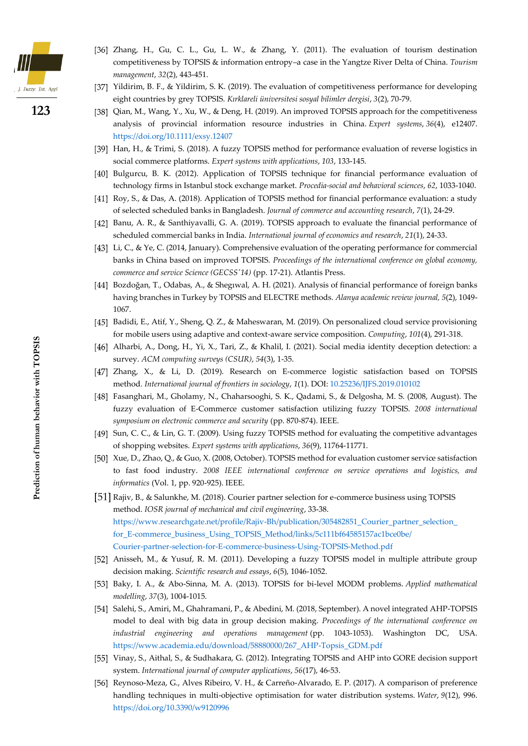

- [36] Zhang, H., Gu, C. L., Gu, L. W., & Zhang, Y. (2011). The evaluation of tourism destination competitiveness by TOPSIS & information entropy–a case in the Yangtze River Delta of China. *Tourism management*, *32*(2), 443-451.
- Yildirim, B. F., & Yildirim, S. K. (2019). The evaluation of competitiveness performance for developing eight countries by grey TOPSIS. *Kırklareli üniversitesi sosyal bilimler dergisi*, *3*(2), 70-79.
- [38] Qian, M., Wang, Y., Xu, W., & Deng, H. (2019). An improved TOPSIS approach for the competitiveness analysis of provincial information resource industries in China. *Expert systems*, *36*(4), e12407. <https://doi.org/10.1111/exsy.12407>
- [39] Han, H., & Trimi, S. (2018). A fuzzy TOPSIS method for performance evaluation of reverse logistics in social commerce platforms. *Expert systems with applications*, *103*, 133-145.
- [40] Bulgurcu, B. K. (2012). Application of TOPSIS technique for financial performance evaluation of technology firms in Istanbul stock exchange market. *Procedia-social and behavioral sciences*, *62*, 1033-1040.
- [41] Roy, S., & Das, A. (2018). Application of TOPSIS method for financial performance evaluation: a study of selected scheduled banks in Bangladesh. *Journal of commerce and accounting research*, *7*(1), 24-29.
- [42] Banu, A. R., & Santhiyavalli, G. A. (2019). TOPSIS approach to evaluate the financial performance of scheduled commercial banks in India. *International journal of economics and research*, *21*(1), 24-33.
- [43] Li, C., & Ye, C. (2014, January). Comprehensive evaluation of the operating performance for commercial banks in China based on improved TOPSIS. *Proceedings of the international conference on global economy, commerce and service Science (GECSS'14)* (pp. 17-21). Atlantis Press.
- Bozdoğan, T., Odabas, A., & Shegıwal, A. H. (2021). Analysis of financial performance of foreign banks having branches in Turkey by TOPSIS and ELECTRE methods. *Alanya academic review journal, 5*(2), 1049- 1067.
- [45] Badidi, E., Atif, Y., Sheng, Q. Z., & Maheswaran, M. (2019). On personalized cloud service provisioning for mobile users using adaptive and context-aware service composition. *Computing*, *101*(4), 291-318.
- [46] Alharbi, A., Dong, H., Yi, X., Tari, Z., & Khalil, I. (2021). Social media identity deception detection: a survey. *ACM computing surveys (CSUR)*, *54*(3), 1-35.
- [47] Zhang, X., & Li, D. (2019). Research on E-commerce logistic satisfaction based on TOPSIS method. *International journal of frontiers in sociology*, *1*(1). DOI: [10.25236/IJFS.2019.010102](http://dx.doi.org/10.25236/IJFS.2019.010102)
- Fasanghari, M., Gholamy, N., Chaharsooghi, S. K., Qadami, S., & Delgosha, M. S. (2008, August). The fuzzy evaluation of E-Commerce customer satisfaction utilizing fuzzy TOPSIS. *2008 international symposium on electronic commerce and security* (pp. 870-874). IEEE.
- [49] Sun, C. C., & Lin, G. T. (2009). Using fuzzy TOPSIS method for evaluating the competitive advantages of shopping websites. *Expert systems with applications*, *36*(9), 11764-11771.
- [50] Xue, D., Zhao, Q., & Guo, X. (2008, October). TOPSIS method for evaluation customer service satisfaction to fast food industry. *2008 IEEE international conference on service operations and logistics, and informatics* (Vol. 1, pp. 920-925). IEEE.
- Rajiv, B., & Salunkhe, M. (2018). Courier partner selection for e-commerce business using TOPSIS method. *IOSR journal of mechanical and civil engineering*, 33-38. https://www.researchgate.net/profile/Rajiv-Bh/publication/305482851\_Courier\_partner\_selection [for\\_E-commerce\\_business\\_Using\\_TOPSIS\\_Method/links/5c111bf64585157ac1bce0be/](https://www.researchgate.net/profile/Rajiv-Bh/publication/305482851_Courier_partner_selection_%0bfor_E-commerce_business_Using_TOPSIS_Method/links/5c111bf64585157ac1bce0be/%0bCourier-partner-selection-for-E-commerce-business-Using-TOPSIS-Method.pdf) [Courier-partner-selection-for-E-commerce-business-Using-TOPSIS-Method.pdf](https://www.researchgate.net/profile/Rajiv-Bh/publication/305482851_Courier_partner_selection_%0bfor_E-commerce_business_Using_TOPSIS_Method/links/5c111bf64585157ac1bce0be/%0bCourier-partner-selection-for-E-commerce-business-Using-TOPSIS-Method.pdf)
- [52] Anisseh, M., & Yusuf, R. M. (2011). Developing a fuzzy TOPSIS model in multiple attribute group decision making. *Scientific research and essays*, *6*(5), 1046-1052.
- Baky, I. A., & Abo-Sinna, M. A. (2013). TOPSIS for bi-level MODM problems. *Applied mathematical modelling*, *37*(3), 1004-1015.
- [54] Salehi, S., Amiri, M., Ghahramani, P., & Abedini, M. (2018, September). A novel integrated AHP-TOPSIS model to deal with big data in group decision making. *Proceedings of the international conference on industrial engineering and operations management* (pp. 1043-1053). Washington DC, USA. [https://www.academia.edu/download/58880000/267\\_AHP-Topsis\\_GDM.pdf](https://www.academia.edu/download/58880000/267_AHP-Topsis_GDM.pdf)
- Vinay, S., Aithal, S., & Sudhakara, G. (2012). Integrating TOPSIS and AHP into GORE decision support system. *International journal of computer applications*, *56*(17), 46-53.
- [56] Reynoso-Meza, G., Alves Ribeiro, V. H., & Carreño-Alvarado, E. P. (2017). A comparison of preference handling techniques in multi-objective optimisation for water distribution systems. *Water*, *9*(12), 996. <https://doi.org/10.3390/w9120996>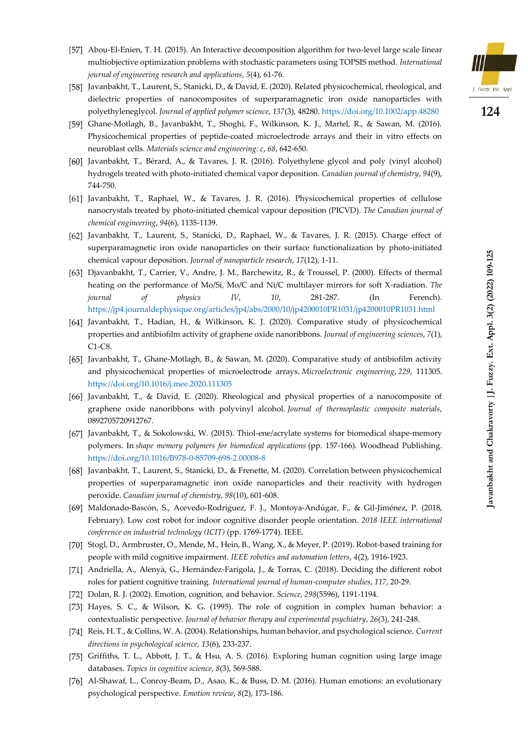

- [58] Javanbakht, T., Laurent, S., Stanicki, D., & David, E. (2020). Related physicochemical, rheological, and dielectric properties of nanocomposites of superparamagnetic iron oxide nanoparticles with polyethyleneglycol. *Journal of applied polymer science*, *137*(3), 48280.<https://doi.org/10.1002/app.48280>
- Ghane-Motlagh, B., Javanbakht, T., Shoghi, F., Wilkinson, K. J., Martel, R., & Sawan, M. (2016). Physicochemical properties of peptide-coated microelectrode arrays and their in vitro effects on neuroblast cells. *Materials science and engineering: c*, *68*, 642-650.
- Javanbakht, T., Bérard, A., & Tavares, J. R. (2016). Polyethylene glycol and poly (vinyl alcohol) hydrogels treated with photo-initiated chemical vapor deposition. *Canadian journal of chemistry*, *94*(9), 744-750.
- Javanbakht, T., Raphael, W., & Tavares, J. R. (2016). Physicochemical properties of cellulose nanocrystals treated by photo‐initiated chemical vapour deposition (PICVD). *The Canadian journal of chemical engineering*, *94*(6), 1135-1139.
- Javanbakht, T., Laurent, S., Stanicki, D., Raphael, W., & Tavares, J. R. (2015). Charge effect of superparamagnetic iron oxide nanoparticles on their surface functionalization by photo-initiated chemical vapour deposition. *Journal of nanoparticle research*, *17*(12), 1-11.
- [63] Djavanbakht, T., Carrier, V., Andre, J. M., Barchewitz, R., & Troussel, P. (2000). Effects of thermal heating on the performance of Mo/Si, Mo/C and Ni/C multilayer mirrors for soft X-radiation. *The journal of physics IV*, *10*, 281-287. (In Ferench). <https://jp4.journaldephysique.org/articles/jp4/abs/2000/10/jp4200010PR1031/jp4200010PR1031.html>
- Javanbakht, T., Hadian, H., & Wilkinson, K. J. (2020). Comparative study of physicochemical properties and antibiofilm activity of graphene oxide nanoribbons. *Journal of engineering sciences*, *7*(1), C1-C8.
- Javanbakht, T., Ghane-Motlagh, B., & Sawan, M. (2020). Comparative study of antibiofilm activity and physicochemical properties of microelectrode arrays. *Microelectronic engineering*, *229*, 111305. <https://doi.org/10.1016/j.mee.2020.111305>
- Javanbakht, T., & David, E. (2020). Rheological and physical properties of a nanocomposite of graphene oxide nanoribbons with polyvinyl alcohol. *Journal of thermoplastic composite materials*, 0892705720912767.
- Javanbakht, T., & Sokolowski, W. (2015). Thiol-ene/acrylate systems for biomedical shape-memory polymers. In *shape memory polymers for biomedical applications* (pp. 157-166). Woodhead Publishing. <https://doi.org/10.1016/B978-0-85709-698-2.00008-8>
- Javanbakht, T., Laurent, S., Stanicki, D., & Frenette, M. (2020). Correlation between physicochemical properties of superparamagnetic iron oxide nanoparticles and their reactivity with hydrogen peroxide. *Canadian journal of chemistry*, *98*(10), 601-608.
- Maldonado-Bascón, S., Acevedo-Rodríguez, F. J., Montoya-Andúgar, F., & Gil-Jiménez, P. (2018, February). Low cost robot for indoor cognitive disorder people orientation. *2018 IEEE international conference on industrial technology (ICIT)* (pp. 1769-1774). IEEE.
- [70] Stogl, D., Armbruster, O., Mende, M., Hein, B., Wang, X., & Meyer, P. (2019). Robot-based training for people with mild cognitive impairment. *IEEE robotics and automation letters*, *4*(2), 1916-1923.
- [71] Andriella, A., Alenyà, G., Hernández-Farigola, J., & Torras, C. (2018). Deciding the different robot roles for patient cognitive training. *International journal of human-computer studies*, *117*, 20-29.
- Dolan, R. J. (2002). Emotion, cognition, and behavior. *Science*, *298*(5596), 1191-1194.
- [73] Hayes, S. C., & Wilson, K. G. (1995). The role of cognition in complex human behavior: a contextualistic perspective. *Journal of behavior therapy and experimental psychiatry*, *26*(3), 241-248.
- Reis, H. T., & Collins, W. A. (2004). Relationships, human behavior, and psychological science. *Current directions in psychological science*, *13*(6), 233-237.
- [75] Griffiths, T. L., Abbott, J. T., & Hsu, A. S. (2016). Exploring human cognition using large image databases. *Topics in cognitive science*, *8*(3), 569-588.
- [76] Al-Shawaf, L., Conroy-Beam, D., Asao, K., & Buss, D. M. (2016). Human emotions: an evolutionary psychological perspective. *Emotion review*, *8*(2), 173-186 .